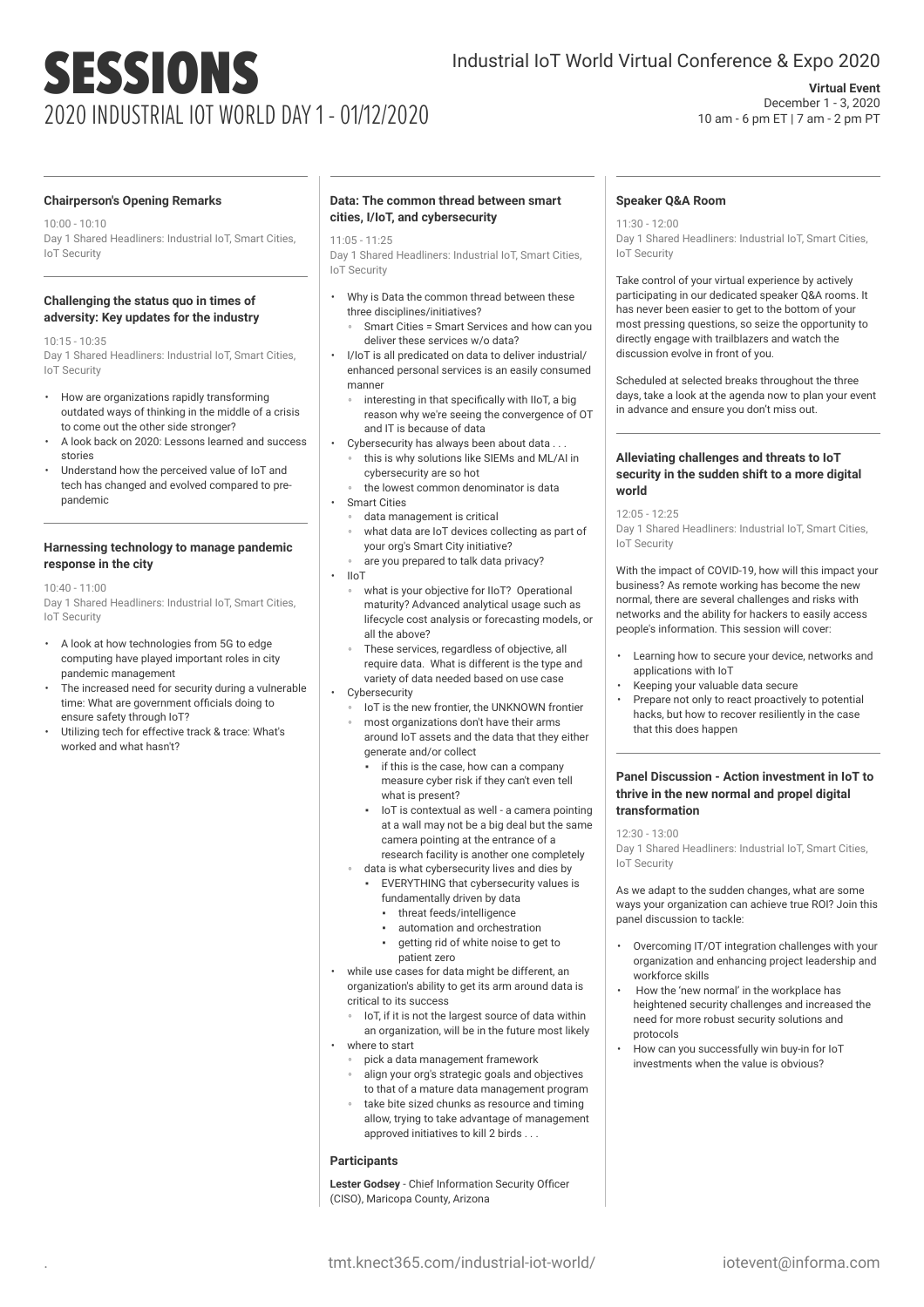# SESSIONS 2020 INDUSTRIAL IOT WORLD DAY 1 - 01/12/2020

## Industrial IoT World Virtual Conference & Expo 2020

## **Virtual Event** December 1 - 3, 2020 10 am - 6 pm ET | 7 am - 2 pm PT

## **Chairperson's Opening Remarks**

10:00 - 10:10 Day 1 Shared Headliners: Industrial IoT, Smart Cities, IoT Security

## **Challenging the status quo in times of adversity: Key updates for the industry**

10:15 - 10:35 Day 1 Shared Headliners: Industrial IoT, Smart Cities, IoT Security

- How are organizations rapidly transforming outdated ways of thinking in the middle of a crisis to come out the other side stronger?
- A look back on 2020: Lessons learned and success stories
- Understand how the perceived value of IoT and tech has changed and evolved compared to prepandemic

#### **Harnessing technology to manage pandemic response in the city**

10:40 - 11:00

Day 1 Shared Headliners: Industrial IoT, Smart Cities, IoT Security

- A look at how technologies from 5G to edge computing have played important roles in city pandemic management
- The increased need for security during a vulnerable time: What are government officials doing to ensure safety through IoT?
- Utilizing tech for effective track & trace: What's worked and what hasn't?

## **Data: The common thread between smart cities, I/IoT, and cybersecurity**

#### 11:05 - 11:25

Day 1 Shared Headliners: Industrial IoT, Smart Cities, IoT Security

- Why is Data the common thread between these three disciplines/initiatives?
	- Smart Cities = Smart Services and how can you deliver these services w/o data?
- I/IoT is all predicated on data to deliver industrial/ enhanced personal services is an easily consumed manner
	- interesting in that specifically with IIoT, a big reason why we're seeing the convergence of OT and IT is because of data
- Cybersecurity has always been about data.
- this is why solutions like SIEMs and ML/AI in cybersecurity are so hot
- the lowest common denominator is data
- Smart Cities
- data management is critical what data are IoT devices collecting as part of
- your org's Smart City initiative?
- are you prepared to talk data privacy?
- IIoT
	- what is your objective for IIoT? Operational maturity? Advanced analytical usage such as lifecycle cost analysis or forecasting models, or all the above?
	- These services, regardless of objective, all require data. What is different is the type and variety of data needed based on use case
- Cybersecurity
	- IoT is the new frontier, the UNKNOWN frontier
	- most organizations don't have their arms around IoT assets and the data that they either generate and/or collect
		- if this is the case, how can a company measure cyber risk if they can't even tell what is present?
		- IoT is contextual as well a camera pointing at a wall may not be a big deal but the same camera pointing at the entrance of a research facility is another one completely
		- data is what cybersecurity lives and dies by
		- EVERYTHING that cybersecurity values is
			- fundamentally driven by data
			- threat feeds/intelligence
			- automation and orchestration
			- aetting rid of white noise to get to patient zero
- while use cases for data might be different, an organization's ability to get its arm around data is critical to its success
- IoT, if it is not the largest source of data within an organization, will be in the future most likely • where to start
	- pick a data management framework
	- align your org's strategic goals and objectives to that of a mature data management program
	- take bite sized chunks as resource and timing allow, trying to take advantage of management approved initiatives to kill 2 birds . . .

### **Participants**

**Lester Godsey** - Chief Information Security Officer (CISO), Maricopa County, Arizona

## **Speaker Q&A Room**

11:30 - 12:00 Day 1 Shared Headliners: Industrial IoT, Smart Cities, IoT Security

Take control of your virtual experience by actively participating in our dedicated speaker Q&A rooms. It has never been easier to get to the bottom of your most pressing questions, so seize the opportunity to directly engage with trailblazers and watch the discussion evolve in front of you.

Scheduled at selected breaks throughout the three days, take a look at the agenda now to plan your event in advance and ensure you don't miss out.

#### **Alleviating challenges and threats to IoT security in the sudden shift to a more digital world**

12:05 - 12:25

Day 1 Shared Headliners: Industrial IoT, Smart Cities, IoT Security

With the impact of COVID-19, how will this impact your business? As remote working has become the new normal, there are several challenges and risks with networks and the ability for hackers to easily access people's information. This session will cover:

- Learning how to secure your device, networks and applications with IoT
- Keeping your valuable data secure
- Prepare not only to react proactively to potential hacks, but how to recover resiliently in the case that this does happen

#### **Panel Discussion - Action investment in IoT to thrive in the new normal and propel digital transformation**

12:30 - 13:00

Day 1 Shared Headliners: Industrial IoT, Smart Cities, IoT Security

As we adapt to the sudden changes, what are some ways your organization can achieve true ROI? Join this panel discussion to tackle:

- Overcoming IT/OT integration challenges with your organization and enhancing project leadership and workforce skills
- How the 'new normal' in the workplace has heightened security challenges and increased the need for more robust security solutions and protocols
- How can you successfully win buy-in for IoT investments when the value is obvious?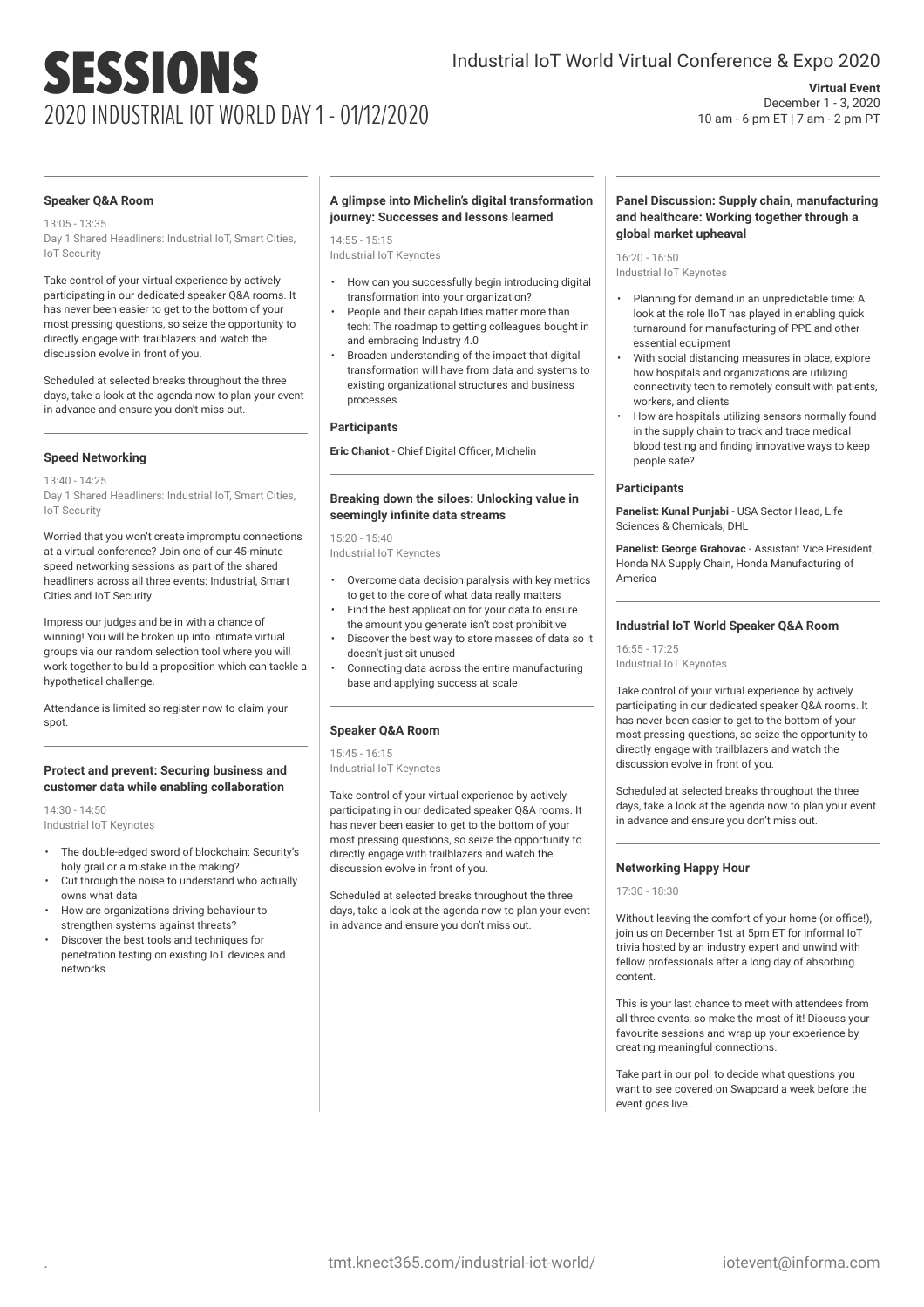# SESSIONS 2020 INDUSTRIAL IOT WORLD DAY 1 - 01/12/2020

## Industrial IoT World Virtual Conference & Expo 2020

**Virtual Event** December 1 - 3, 2020 10 am - 6 pm ET | 7 am - 2 pm PT

#### **Speaker Q&A Room**

13:05 - 13:35 Day 1 Shared Headliners: Industrial IoT, Smart Cities, IoT Security

Take control of your virtual experience by actively participating in our dedicated speaker Q&A rooms. It has never been easier to get to the bottom of your most pressing questions, so seize the opportunity to directly engage with trailblazers and watch the discussion evolve in front of you.

Scheduled at selected breaks throughout the three days, take a look at the agenda now to plan your event in advance and ensure you don't miss out.

## **Speed Networking**

13:40 - 14:25 Day 1 Shared Headliners: Industrial IoT, Smart Cities, IoT Security

Worried that you won't create impromptu connections at a virtual conference? Join one of our 45-minute speed networking sessions as part of the shared headliners across all three events: Industrial, Smart Cities and IoT Security.

Impress our judges and be in with a chance of winning! You will be broken up into intimate virtual groups via our random selection tool where you will work together to build a proposition which can tackle a hypothetical challenge.

Attendance is limited so register now to claim your spot.

#### **Protect and prevent: Securing business and customer data while enabling collaboration**

14:30 - 14:50 Industrial IoT Keynotes

- The double-edged sword of blockchain: Security's holy grail or a mistake in the making?
- Cut through the noise to understand who actually owns what data
- How are organizations driving behaviour to strengthen systems against threats?
- Discover the best tools and techniques for penetration testing on existing IoT devices and networks

### **A glimpse into Michelin's digital transformation journey: Successes and lessons learned**

 $14.55 - 15.15$ Industrial IoT Keynotes

- How can you successfully begin introducing digital transformation into your organization?
- People and their capabilities matter more than tech: The roadmap to getting colleagues bought in and embracing Industry 4.0
- Broaden understanding of the impact that digital transformation will have from data and systems to existing organizational structures and business processes

#### **Participants**

**Eric Chaniot** - Chief Digital Officer, Michelin

## **Breaking down the siloes: Unlocking value in seemingly infinite data streams**

15:20 - 15:40 Industrial IoT Keynotes

- Overcome data decision paralysis with key metrics to get to the core of what data really matters
- Find the best application for your data to ensure the amount you generate isn't cost prohibitive
- Discover the best way to store masses of data so it doesn't just sit unused
- Connecting data across the entire manufacturing base and applying success at scale

#### **Speaker Q&A Room**

15:45 - 16:15 Industrial IoT Keynotes

Take control of your virtual experience by actively participating in our dedicated speaker Q&A rooms. It has never been easier to get to the bottom of your most pressing questions, so seize the opportunity to directly engage with trailblazers and watch the discussion evolve in front of you.

Scheduled at selected breaks throughout the three days, take a look at the agenda now to plan your event in advance and ensure you don't miss out.

### **Panel Discussion: Supply chain, manufacturing and healthcare: Working together through a global market upheaval**

16:20 - 16:50 Industrial IoT Keynotes

- Planning for demand in an unpredictable time: A look at the role IIoT has played in enabling quick turnaround for manufacturing of PPE and other essential equipment
- With social distancing measures in place, explore how hospitals and organizations are utilizing connectivity tech to remotely consult with patients, workers, and clients
- How are hospitals utilizing sensors normally found in the supply chain to track and trace medical blood testing and finding innovative ways to keep people safe?

#### **Participants**

**Panelist: Kunal Punjabi** - USA Sector Head, Life Sciences & Chemicals, DHL

**Panelist: George Grahovac** - Assistant Vice President, Honda NA Supply Chain, Honda Manufacturing of America

## **Industrial IoT World Speaker Q&A Room**

16:55 - 17:25

Industrial IoT Keynotes

Take control of your virtual experience by actively participating in our dedicated speaker Q&A rooms. It has never been easier to get to the bottom of your most pressing questions, so seize the opportunity to directly engage with trailblazers and watch the discussion evolve in front of you.

Scheduled at selected breaks throughout the three days, take a look at the agenda now to plan your event in advance and ensure you don't miss out.

## **Networking Happy Hour**

 $17:30 - 18:30$ 

Without leaving the comfort of your home (or office!), join us on December 1st at 5pm ET for informal IoT trivia hosted by an industry expert and unwind with fellow professionals after a long day of absorbing content.

This is your last chance to meet with attendees from all three events, so make the most of it! Discuss your favourite sessions and wrap up your experience by creating meaningful connections.

Take part in our poll to decide what questions you want to see covered on Swapcard a week before the event goes live.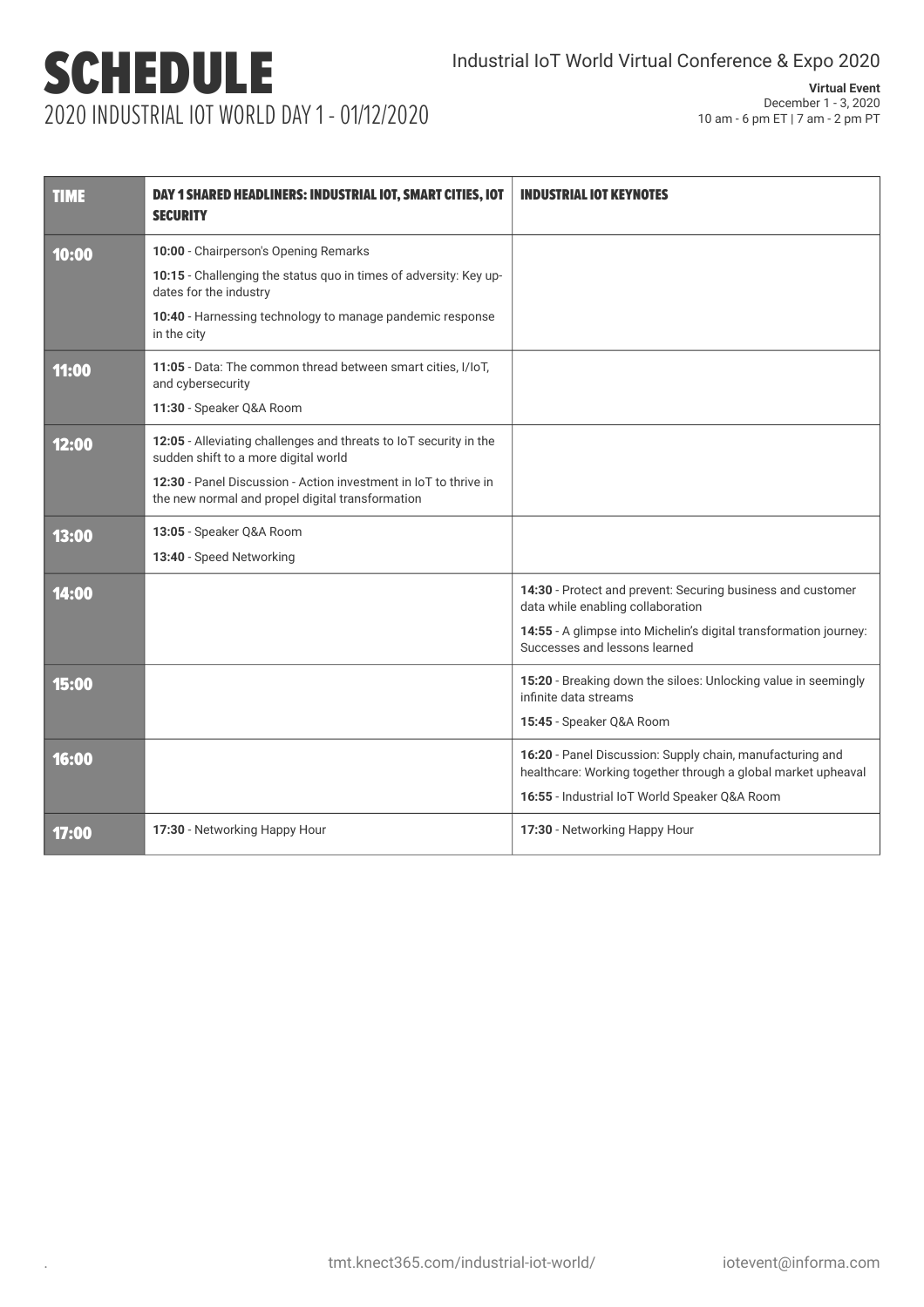## SCHEDULE 2020 INDUSTRIAL IOT WORLD DAY 1 - 01/12/2020

## **Virtual Event** December 1 - 3, 2020 10 am - 6 pm ET | 7 am - 2 pm PT

| <b>TIME</b> | DAY 1 SHARED HEADLINERS: INDUSTRIAL IOT, SMART CITIES, IOT<br><b>SECURITY</b>                                        | <b>INDUSTRIAL IOT KEYNOTES</b>                                                                                             |
|-------------|----------------------------------------------------------------------------------------------------------------------|----------------------------------------------------------------------------------------------------------------------------|
| 10:00       | 10:00 - Chairperson's Opening Remarks                                                                                |                                                                                                                            |
|             | 10:15 - Challenging the status quo in times of adversity: Key up-<br>dates for the industry                          |                                                                                                                            |
|             | 10:40 - Harnessing technology to manage pandemic response<br>in the city                                             |                                                                                                                            |
| 11:00       | 11:05 - Data: The common thread between smart cities, I/IoT,<br>and cybersecurity                                    |                                                                                                                            |
|             | 11:30 - Speaker Q&A Room                                                                                             |                                                                                                                            |
| 12:00       | 12:05 - Alleviating challenges and threats to IoT security in the<br>sudden shift to a more digital world            |                                                                                                                            |
|             | 12:30 - Panel Discussion - Action investment in IoT to thrive in<br>the new normal and propel digital transformation |                                                                                                                            |
| 13:00       | 13:05 - Speaker Q&A Room                                                                                             |                                                                                                                            |
|             | 13:40 - Speed Networking                                                                                             |                                                                                                                            |
| 14:00       |                                                                                                                      | 14:30 - Protect and prevent: Securing business and customer<br>data while enabling collaboration                           |
|             |                                                                                                                      | 14:55 - A glimpse into Michelin's digital transformation journey:<br>Successes and lessons learned                         |
| 15:00       |                                                                                                                      | 15:20 - Breaking down the siloes: Unlocking value in seemingly<br>infinite data streams                                    |
|             |                                                                                                                      | 15:45 - Speaker Q&A Room                                                                                                   |
| 16:00       |                                                                                                                      | 16:20 - Panel Discussion: Supply chain, manufacturing and<br>healthcare: Working together through a global market upheaval |
|             |                                                                                                                      | 16:55 - Industrial IoT World Speaker Q&A Room                                                                              |
| 17:00       | 17:30 - Networking Happy Hour                                                                                        | 17:30 - Networking Happy Hour                                                                                              |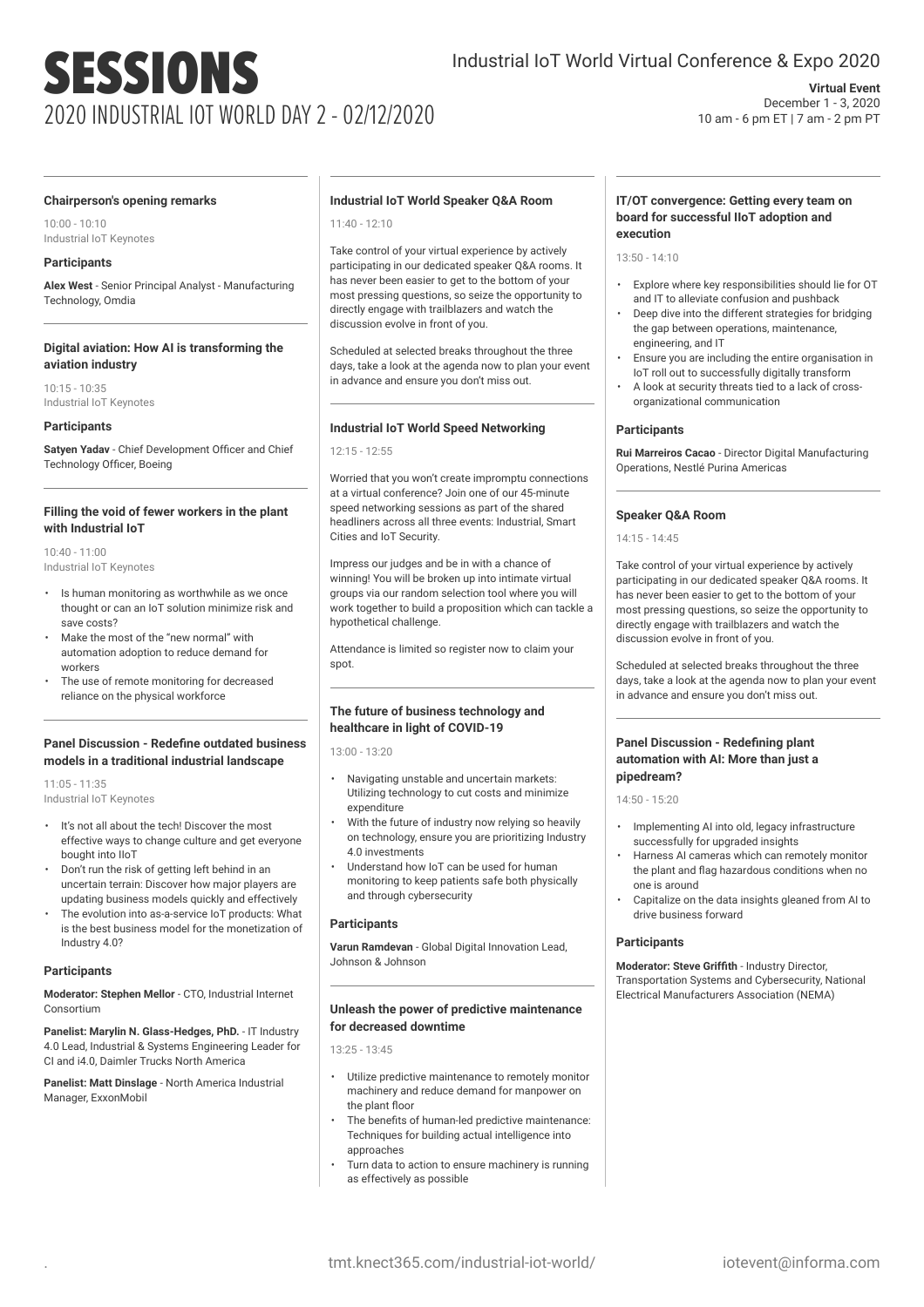# SESSIONS 2020 INDUSTRIAL IOT WORLD DAY 2 - 02/12/2020

## **Virtual Event** December 1 - 3, 2020 10 am - 6 pm ET | 7 am - 2 pm PT

#### **Chairperson's opening remarks**

10:00 - 10:10 Industrial IoT Keynotes

## **Participants**

**Alex West** - Senior Principal Analyst - Manufacturing Technology, Omdia

## **Digital aviation: How AI is transforming the aviation industry**

10:15 - 10:35 Industrial IoT Keynotes

#### **Participants**

**Satyen Yadav** - Chief Development Officer and Chief Technology Officer, Boeing

#### **Filling the void of fewer workers in the plant with Industrial IoT**

10:40 - 11:00 Industrial IoT Keynotes

- Is human monitoring as worthwhile as we once thought or can an IoT solution minimize risk and save costs?
- Make the most of the "new normal" with automation adoption to reduce demand for workers
- The use of remote monitoring for decreased reliance on the physical workforce

#### **Panel Discussion - Redefine outdated business models in a traditional industrial landscape**

11:05 - 11:35 Industrial IoT Keynotes

- It's not all about the tech! Discover the most effective ways to change culture and get everyone bought into IIoT
- Don't run the risk of getting left behind in an uncertain terrain: Discover how major players are updating business models quickly and effectively
- The evolution into as-a-service IoT products: What is the best business model for the monetization of Industry 4.0?

#### **Participants**

**Moderator: Stephen Mellor** - CTO, Industrial Internet Consortium

**Panelist: Marylin N. Glass-Hedges, PhD.** - IT Industry 4.0 Lead, Industrial & Systems Engineering Leader for CI and i4.0, Daimler Trucks North America

**Panelist: Matt Dinslage** - North America Industrial Manager, ExxonMobil

## **Industrial IoT World Speaker Q&A Room**

11:40 - 12:10

Take control of your virtual experience by actively participating in our dedicated speaker Q&A rooms. It has never been easier to get to the bottom of your most pressing questions, so seize the opportunity to directly engage with trailblazers and watch the discussion evolve in front of you.

Scheduled at selected breaks throughout the three days, take a look at the agenda now to plan your event in advance and ensure you don't miss out.

## **Industrial IoT World Speed Networking**

12:15 - 12:55

Worried that you won't create impromptu connections at a virtual conference? Join one of our 45-minute speed networking sessions as part of the shared headliners across all three events: Industrial, Smart Cities and IoT Security.

Impress our judges and be in with a chance of winning! You will be broken up into intimate virtual groups via our random selection tool where you will work together to build a proposition which can tackle a hypothetical challenge.

Attendance is limited so register now to claim your spot.

## **The future of business technology and healthcare in light of COVID-19**

13:00 - 13:20

- Navigating unstable and uncertain markets: Utilizing technology to cut costs and minimize expenditure
- With the future of industry now relying so heavily on technology, ensure you are prioritizing Industry 4.0 investments
- Understand how IoT can be used for human monitoring to keep patients safe both physically and through cybersecurity

## **Participants**

**Varun Ramdevan** - Global Digital Innovation Lead, Johnson & Johnson

## **Unleash the power of predictive maintenance for decreased downtime**

13:25 - 13:45

- Utilize predictive maintenance to remotely monitor machinery and reduce demand for manpower on the plant floor
- The benefits of human-led predictive maintenance: Techniques for building actual intelligence into approaches
- Turn data to action to ensure machinery is running as effectively as possible

### **IT/OT convergence: Getting every team on board for successful IIoT adoption and execution**

13:50 - 14:10

- Explore where key responsibilities should lie for OT and IT to alleviate confusion and pushback
- Deep dive into the different strategies for bridging the gap between operations, maintenance, engineering, and IT
- Ensure you are including the entire organisation in IoT roll out to successfully digitally transform
- A look at security threats tied to a lack of crossorganizational communication

## **Participants**

**Rui Marreiros Cacao** - Director Digital Manufacturing Operations, Nestlé Purina Americas

## **Speaker Q&A Room**

14:15 - 14:45

Take control of your virtual experience by actively participating in our dedicated speaker Q&A rooms. It has never been easier to get to the bottom of your most pressing questions, so seize the opportunity to directly engage with trailblazers and watch the discussion evolve in front of you.

Scheduled at selected breaks throughout the three days, take a look at the agenda now to plan your event in advance and ensure you don't miss out.

## **Panel Discussion - Redefining plant automation with AI: More than just a pipedream?**

 $14:50 - 15:20$ 

- Implementing AI into old, legacy infrastructure successfully for upgraded insights
- Harness AI cameras which can remotely monitor the plant and flag hazardous conditions when no one is around
- Capitalize on the data insights gleaned from AI to drive business forward

## **Participants**

**Moderator: Steve Griffith** - Industry Director, Transportation Systems and Cybersecurity, National Electrical Manufacturers Association (NEMA)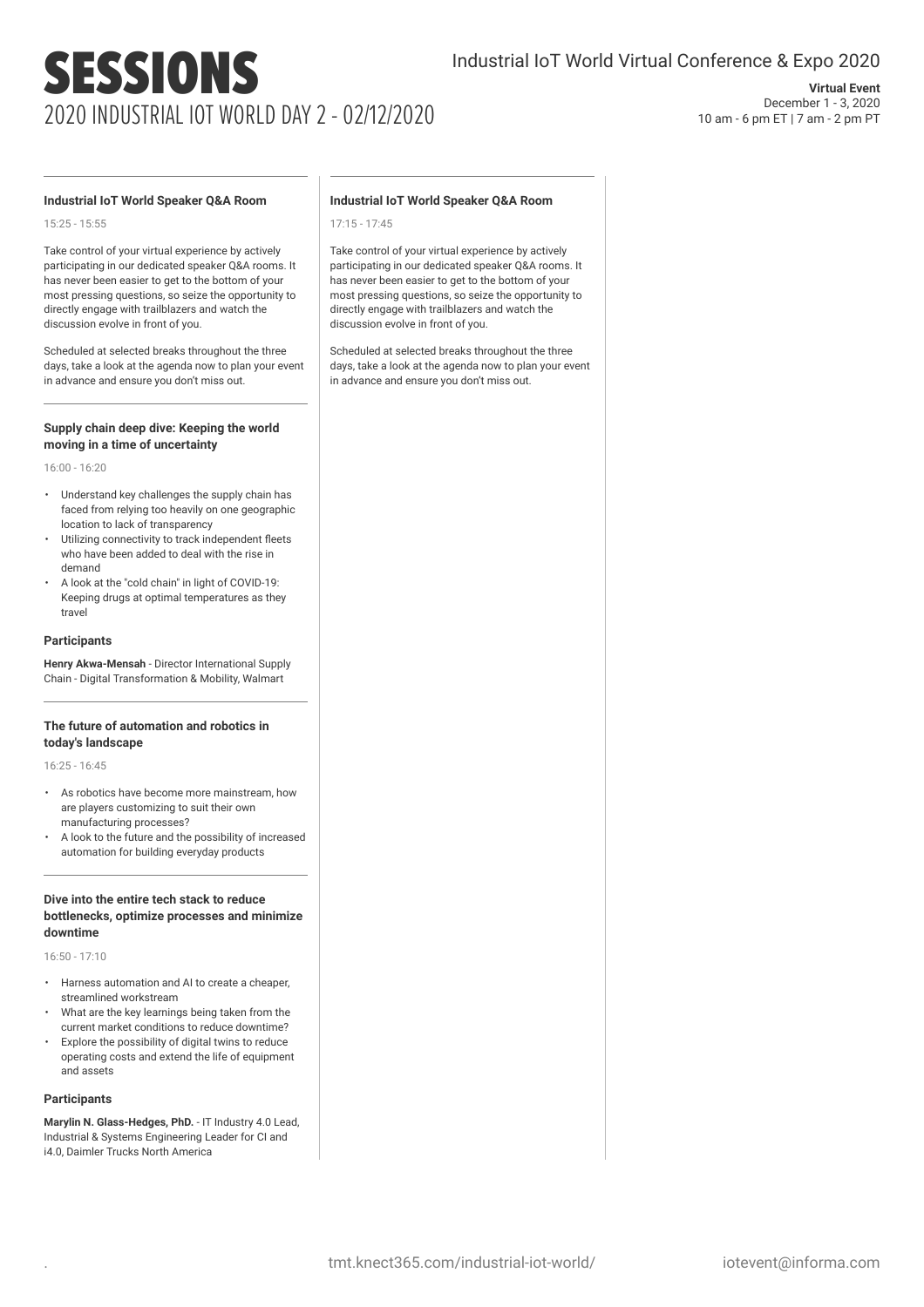# SESSIONS 2020 INDUSTRIAL IOT WORLD DAY 2 - 02/12/2020

## **Virtual Event** December 1 - 3, 2020 10 am - 6 pm ET | 7 am - 2 pm PT

## **Industrial IoT World Speaker Q&A Room**

15:25 - 15:55

Take control of your virtual experience by actively participating in our dedicated speaker Q&A rooms. It has never been easier to get to the bottom of your most pressing questions, so seize the opportunity to directly engage with trailblazers and watch the discussion evolve in front of you.

Scheduled at selected breaks throughout the three days, take a look at the agenda now to plan your event in advance and ensure you don't miss out.

#### **Supply chain deep dive: Keeping the world moving in a time of uncertainty**

16:00 - 16:20

- Understand key challenges the supply chain has faced from relying too heavily on one geographic location to lack of transparency
- Utilizing connectivity to track independent fleets who have been added to deal with the rise in demand
- A look at the "cold chain" in light of COVID-19: Keeping drugs at optimal temperatures as they travel

#### **Participants**

**Henry Akwa-Mensah** - Director International Supply Chain - Digital Transformation & Mobility, Walmart

#### **The future of automation and robotics in today's landscape**

16:25 - 16:45

- As robotics have become more mainstream, how are players customizing to suit their own manufacturing processes?
- A look to the future and the possibility of increased automation for building everyday products

## **Dive into the entire tech stack to reduce bottlenecks, optimize processes and minimize downtime**

16:50 - 17:10

- Harness automation and AI to create a cheaper, streamlined workstream
- What are the key learnings being taken from the current market conditions to reduce downtime?
- Explore the possibility of digital twins to reduce operating costs and extend the life of equipment and assets

#### **Participants**

**Marylin N. Glass-Hedges, PhD.** - IT Industry 4.0 Lead, Industrial & Systems Engineering Leader for CI and i4.0, Daimler Trucks North America

### **Industrial IoT World Speaker Q&A Room**

17:15 - 17:45

Take control of your virtual experience by actively participating in our dedicated speaker Q&A rooms. It has never been easier to get to the bottom of your most pressing questions, so seize the opportunity to directly engage with trailblazers and watch the discussion evolve in front of you.

Scheduled at selected breaks throughout the three days, take a look at the agenda now to plan your event in advance and ensure you don't miss out.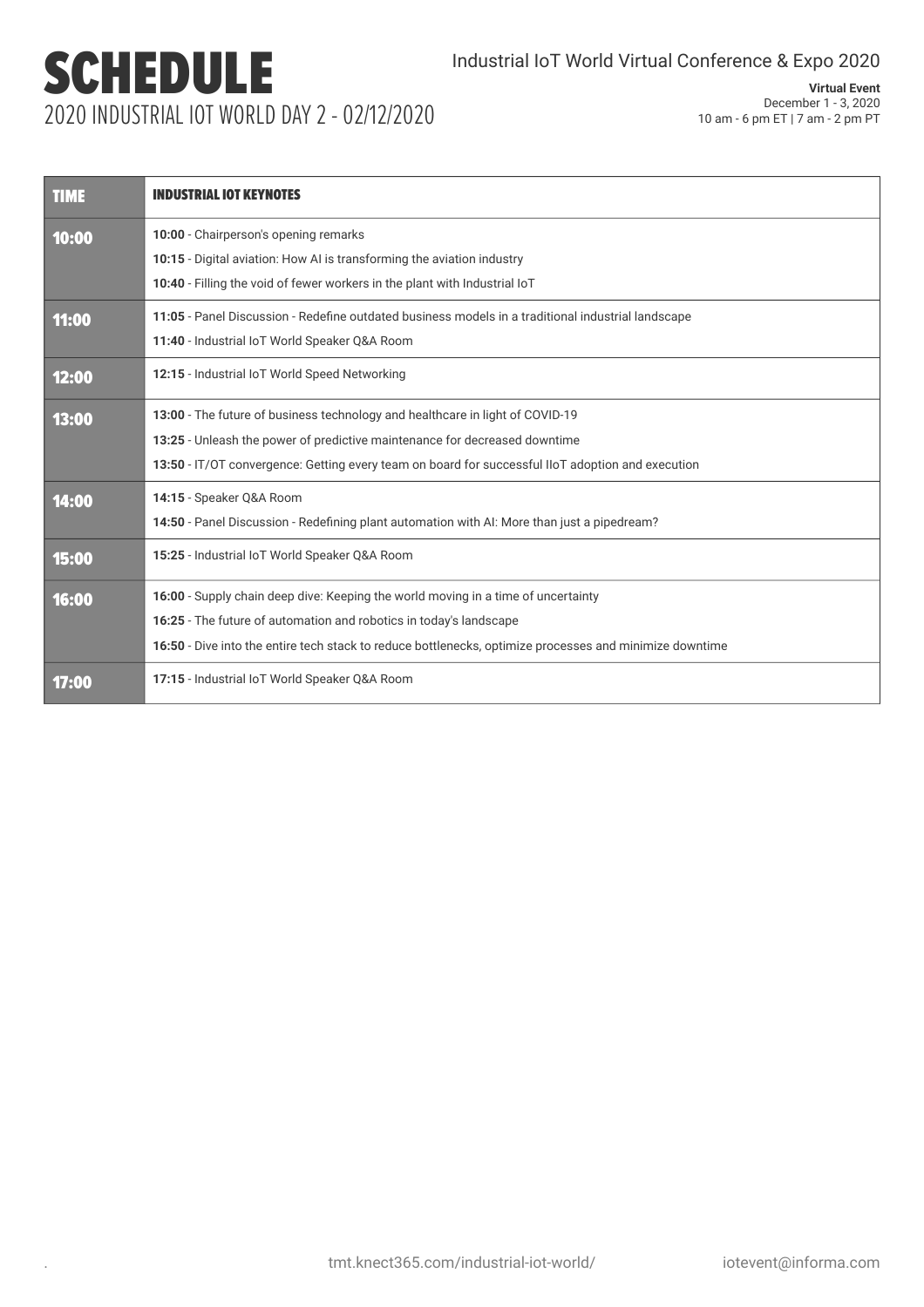## SCHEDULE 2020 INDUSTRIAL IOT WORLD DAY 2 - 02/12/2020

| <b>TIME</b> | <b>INDUSTRIAL IOT KEYNOTES</b>                                                                                                                                                                                                                                     |  |  |
|-------------|--------------------------------------------------------------------------------------------------------------------------------------------------------------------------------------------------------------------------------------------------------------------|--|--|
| 10:00       | 10:00 - Chairperson's opening remarks<br>10:15 - Digital aviation: How AI is transforming the aviation industry<br>10:40 - Filling the void of fewer workers in the plant with Industrial IoT                                                                      |  |  |
| 11:00       | 11:05 - Panel Discussion - Redefine outdated business models in a traditional industrial landscape<br>11:40 - Industrial IoT World Speaker Q&A Room                                                                                                                |  |  |
| 12:00       | 12:15 - Industrial IoT World Speed Networking                                                                                                                                                                                                                      |  |  |
| 13:00       | 13:00 - The future of business technology and healthcare in light of COVID-19<br>13:25 - Unleash the power of predictive maintenance for decreased downtime<br>13:50 - IT/OT convergence: Getting every team on board for successful IIoT adoption and execution   |  |  |
| 14:00       | 14:15 - Speaker Q&A Room<br>14:50 - Panel Discussion - Redefining plant automation with AI: More than just a pipedream?                                                                                                                                            |  |  |
| 15:00       | 15:25 - Industrial IoT World Speaker Q&A Room                                                                                                                                                                                                                      |  |  |
| 16:00       | 16:00 - Supply chain deep dive: Keeping the world moving in a time of uncertainty<br>16:25 - The future of automation and robotics in today's landscape<br>16:50 - Dive into the entire tech stack to reduce bottlenecks, optimize processes and minimize downtime |  |  |
| 17:00       | 17:15 - Industrial IoT World Speaker Q&A Room                                                                                                                                                                                                                      |  |  |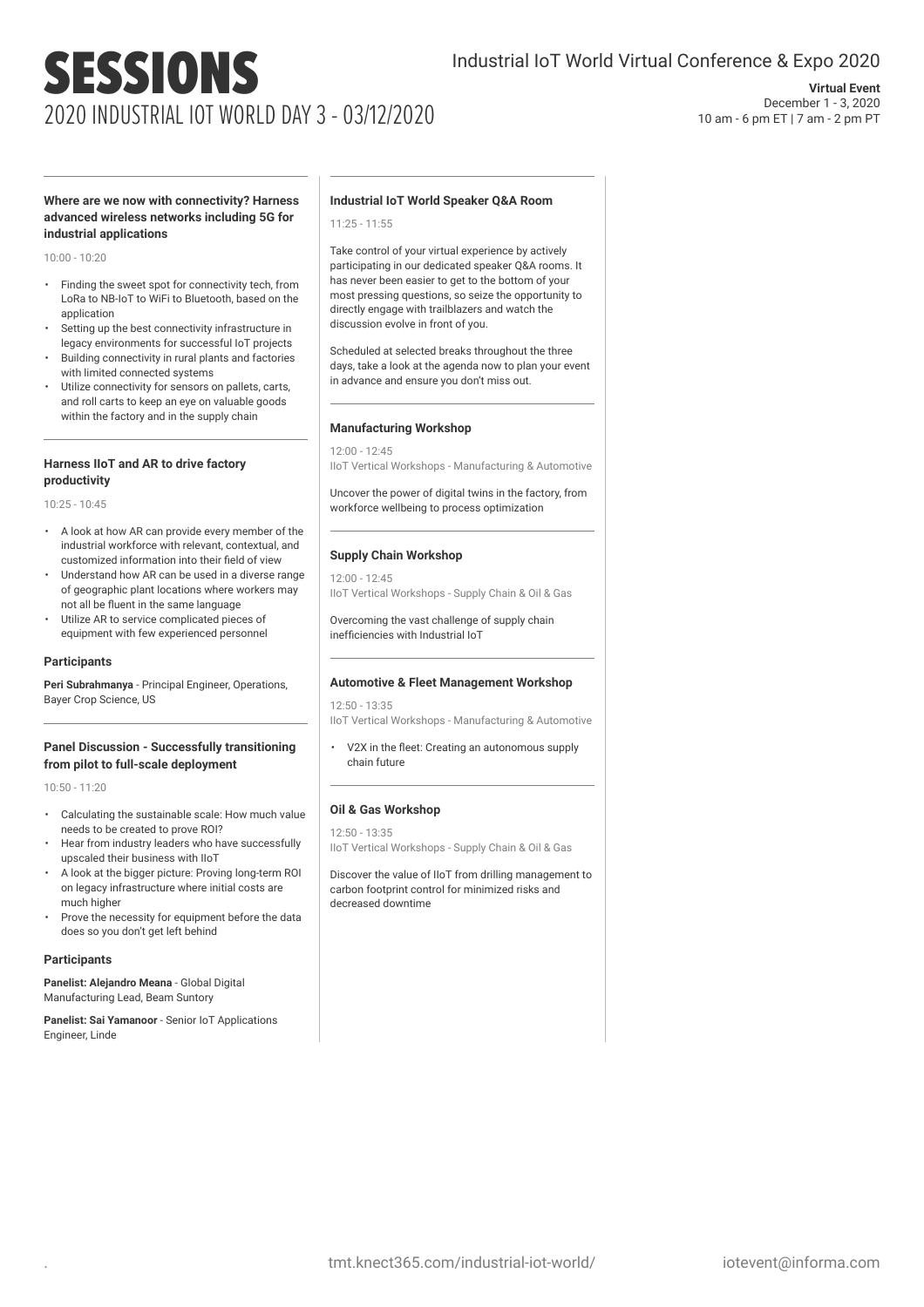## SESSIONS 2020 INDUSTRIAL IOT WORLD DAY 3 - 03/12/2020

## **Virtual Event** December 1 - 3, 2020 10 am - 6 pm ET | 7 am - 2 pm PT

### **Where are we now with connectivity? Harness advanced wireless networks including 5G for industrial applications**

10:00 - 10:20

- Finding the sweet spot for connectivity tech, from LoRa to NB-IoT to WiFi to Bluetooth, based on the application
- Setting up the best connectivity infrastructure in legacy environments for successful IoT projects
- Building connectivity in rural plants and factories with limited connected systems
- Utilize connectivity for sensors on pallets, carts, and roll carts to keep an eye on valuable goods within the factory and in the supply chain

### **Harness IIoT and AR to drive factory productivity**

10:25 - 10:45

- A look at how AR can provide every member of the industrial workforce with relevant, contextual, and customized information into their field of view
- Understand how AR can be used in a diverse range of geographic plant locations where workers may not all be fluent in the same language
- Utilize AR to service complicated pieces of equipment with few experienced personnel

#### **Participants**

**Peri Subrahmanya** - Principal Engineer, Operations, Bayer Crop Science, US

#### **Panel Discussion - Successfully transitioning from pilot to full-scale deployment**

10:50 - 11:20

- Calculating the sustainable scale: How much value needs to be created to prove ROI?
- Hear from industry leaders who have successfully upscaled their business with IIoT
- A look at the bigger picture: Proving long-term ROI on legacy infrastructure where initial costs are much higher
- Prove the necessity for equipment before the data does so you don't get left behind

#### **Participants**

**Panelist: Alejandro Meana** - Global Digital Manufacturing Lead, Beam Suntory

**Panelist: Sai Yamanoor** - Senior IoT Applications Engineer, Linde

## **Industrial IoT World Speaker Q&A Room**

11:25 - 11:55

Take control of your virtual experience by actively participating in our dedicated speaker Q&A rooms. It has never been easier to get to the bottom of your most pressing questions, so seize the opportunity to directly engage with trailblazers and watch the discussion evolve in front of you.

Scheduled at selected breaks throughout the three days, take a look at the agenda now to plan your event in advance and ensure you don't miss out.

#### **Manufacturing Workshop**

12:00 - 12:45 IIoT Vertical Workshops - Manufacturing & Automotive

Uncover the power of digital twins in the factory, from workforce wellbeing to process optimization

#### **Supply Chain Workshop**

12:00 - 12:45 IIoT Vertical Workshops - Supply Chain & Oil & Gas

Overcoming the vast challenge of supply chain inefficiencies with Industrial IoT

#### **Automotive & Fleet Management Workshop**

12:50 - 13:35 IIoT Vertical Workshops - Manufacturing & Automotive

V2X in the fleet: Creating an autonomous supply chain future

## **Oil & Gas Workshop**

12:50 - 13:35 IIoT Vertical Workshops - Supply Chain & Oil & Gas

Discover the value of IIoT from drilling management to carbon footprint control for minimized risks and decreased downtime